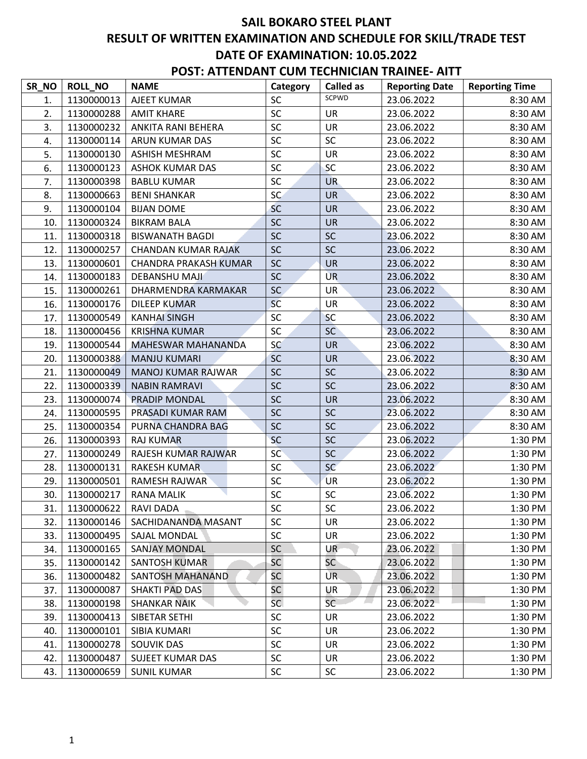| SR_NO | <b>ROLL NO</b> | <b>NAME</b>                  | Category   | <b>Called as</b> | <b>Reporting Date</b> | <b>Reporting Time</b> |
|-------|----------------|------------------------------|------------|------------------|-----------------------|-----------------------|
| 1.    | 1130000013     | AJEET KUMAR                  | SC         | SCPWD            | 23.06.2022            | 8:30 AM               |
| 2.    | 1130000288     | <b>AMIT KHARE</b>            | SC         | <b>UR</b>        | 23.06.2022            | 8:30 AM               |
| 3.    | 1130000232     | ANKITA RANI BEHERA           | SC         | <b>UR</b>        | 23.06.2022            | 8:30 AM               |
| 4.    | 1130000114     | ARUN KUMAR DAS               | SC         | <b>SC</b>        | 23.06.2022            | 8:30 AM               |
| 5.    | 1130000130     | ASHISH MESHRAM               | SC         | <b>UR</b>        | 23.06.2022            | 8:30 AM               |
| 6.    | 1130000123     | <b>ASHOK KUMAR DAS</b>       | SC         | <b>SC</b>        | 23.06.2022            | 8:30 AM               |
| 7.    | 1130000398     | <b>BABLU KUMAR</b>           | SC         | UR.              | 23.06.2022            | 8:30 AM               |
| 8.    | 1130000663     | <b>BENI SHANKAR</b>          | <b>SC</b>  | <b>UR</b>        | 23.06.2022            | 8:30 AM               |
| 9.    | 1130000104     | <b>BIJAN DOME</b>            | <b>SC</b>  | <b>UR</b>        | 23.06.2022            | 8:30 AM               |
| 10.   | 1130000324     | <b>BIKRAM BALA</b>           | <b>SC</b>  | <b>UR</b>        | 23.06.2022            | 8:30 AM               |
| 11.   | 1130000318     | <b>BISWANATH BAGDI</b>       | SC         | <b>SC</b>        | 23.06.2022            | 8:30 AM               |
| 12.   | 1130000257     | CHANDAN KUMAR RAJAK          | <b>SC</b>  | <b>SC</b>        | 23.06.2022            | 8:30 AM               |
| 13.   | 1130000601     | <b>CHANDRA PRAKASH KUMAR</b> | <b>SC</b>  | <b>UR</b>        | 23.06.2022            | 8:30 AM               |
| 14.   | 1130000183     | <b>DEBANSHU MAJI</b>         | <b>SC</b>  | <b>UR</b>        | 23.06.2022            | 8:30 AM               |
| 15.   | 1130000261     | DHARMENDRA KARMAKAR          | <b>SC</b>  | <b>UR</b>        | 23.06.2022            | 8:30 AM               |
| 16.   | 1130000176     | DILEEP KUMAR                 | SC         | UR               | 23.06.2022            | 8:30 AM               |
| 17.   | 1130000549     | <b>KANHAI SINGH</b>          | SC         | <b>SC</b>        | 23.06.2022            | 8:30 AM               |
| 18.   | 1130000456     | <b>KRISHNA KUMAR</b>         | <b>SC</b>  | <b>SC</b>        | 23.06.2022            | 8:30 AM               |
| 19.   | 1130000544     | <b>MAHESWAR MAHANANDA</b>    | SC         | <b>UR</b>        | 23.06.2022            | 8:30 AM               |
| 20.   | 1130000388     | <b>MANJU KUMARI</b>          | <b>SC</b>  | <b>UR</b>        | 23.06.2022            | 8:30 AM               |
| 21.   | 1130000049     | <b>MANOJ KUMAR RAJWAR</b>    | <b>SC</b>  | <b>SC</b>        | 23.06.2022            | 8:30 AM               |
| 22.   | 1130000339     | <b>NABIN RAMRAVI</b>         | SC         | SC               | 23.06.2022            | 8:30 AM               |
| 23.   | 1130000074     | PRADIP MONDAL                | <b>SC</b>  | <b>UR</b>        | 23.06.2022            | 8:30 AM               |
| 24.   | 1130000595     | PRASADI KUMAR RAM            | <b>SC</b>  | <b>SC</b>        | 23.06.2022            | 8:30 AM               |
| 25.   | 1130000354     | PURNA CHANDRA BAG            | <b>SC</b>  | <b>SC</b>        | 23.06.2022            | 8:30 AM               |
| 26.   | 1130000393     | <b>RAJ KUMAR</b>             | <b>SC</b>  | <b>SC</b>        | 23.06.2022            | 1:30 PM               |
| 27.   | 1130000249     | RAJESH KUMAR RAJWAR          | <b>SC</b>  | SC               | 23.06.2022            | 1:30 PM               |
| 28.   | 1130000131     | <b>RAKESH KUMAR</b>          | SC         | <b>SC</b>        | 23.06.2022            | 1:30 PM               |
| 29.   | 1130000501     | <b>RAMESH RAJWAR</b>         | <b>SC</b>  | <b>UR</b>        | 23.06.2022            | 1:30 PM               |
| 30.   | 1130000217     | <b>RANA MALIK</b>            | SC         | SC               | 23.06.2022            | 1:30 PM               |
| 31.   | 1130000622     | RAVI DADA                    | ${\sf SC}$ | $\sf SC$         | 23.06.2022            | 1:30 PM               |
| 32.   | 1130000146     | SACHIDANANDA MASANT          | <b>SC</b>  | <b>UR</b>        | 23.06.2022            | 1:30 PM               |
| 33.   | 1130000495     | SAJAL MONDAL                 | <b>SC</b>  | UR               | 23.06.2022            | 1:30 PM               |
| 34.   | 1130000165     | SANJAY MONDAL                | <b>SC</b>  | UR               | 23.06.2022            | 1:30 PM               |
| 35.   | 1130000142     | <b>SANTOSH KUMAR</b>         | <b>SC</b>  | <b>SC</b>        | 23.06.2022            | 1:30 PM               |
| 36.   | 1130000482     | SANTOSH MAHANAND             | <b>SC</b>  | UR.              | 23.06.2022            | 1:30 PM               |
| 37.   | 1130000087     | SHAKTI PAD DAS               | SC         | UR               | 23.06.2022            | 1:30 PM               |
| 38.   | 1130000198     | <b>SHANKAR NAIK</b>          | <b>SC</b>  | <b>SC</b>        | 23.06.2022            | 1:30 PM               |
| 39.   | 1130000413     | SIBETAR SETHI                | SC         | UR               | 23.06.2022            | 1:30 PM               |
| 40.   | 1130000101     | SIBIA KUMARI                 | <b>SC</b>  | <b>UR</b>        | 23.06.2022            | 1:30 PM               |
| 41.   | 1130000278     | SOUVIK DAS                   | SC         | UR               | 23.06.2022            | 1:30 PM               |
| 42.   | 1130000487     | <b>SUJEET KUMAR DAS</b>      | <b>SC</b>  | UR               | 23.06.2022            | 1:30 PM               |
| 43.   | 1130000659     | <b>SUNIL KUMAR</b>           | <b>SC</b>  | <b>SC</b>        | 23.06.2022            | 1:30 PM               |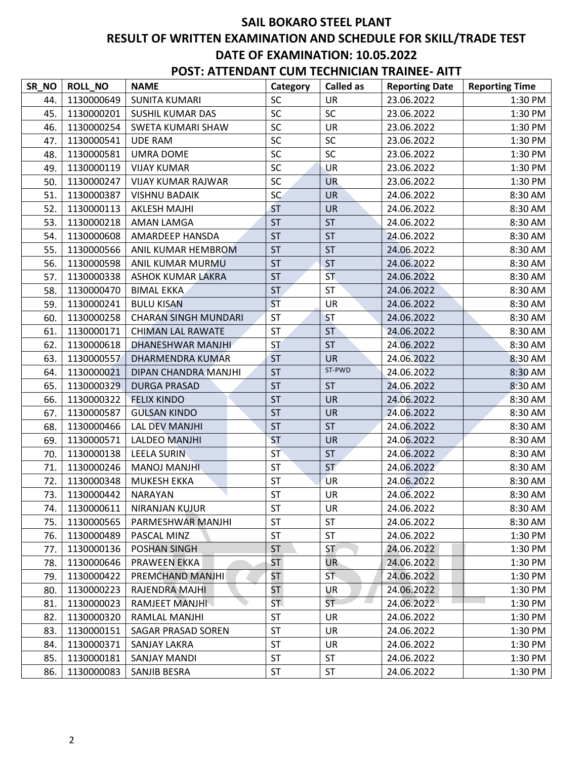| <b>POST: ATTENDANT CUM TECHNICIAN TRAINEE- AITT</b> |  |
|-----------------------------------------------------|--|
|-----------------------------------------------------|--|

| SR_NO | <b>ROLL NO</b> | <b>NAME</b>                 | Category  | <b>Called as</b> | <b>Reporting Date</b> | <b>Reporting Time</b> |
|-------|----------------|-----------------------------|-----------|------------------|-----------------------|-----------------------|
| 44.   | 1130000649     | <b>SUNITA KUMARI</b>        | <b>SC</b> | <b>UR</b>        | 23.06.2022            | 1:30 PM               |
| 45.   | 1130000201     | <b>SUSHIL KUMAR DAS</b>     | SC        | SC               | 23.06.2022            | 1:30 PM               |
| 46.   | 1130000254     | SWETA KUMARI SHAW           | SC        | <b>UR</b>        | 23.06.2022            | 1:30 PM               |
| 47.   | 1130000541     | <b>UDE RAM</b>              | SC        | SC               | 23.06.2022            | 1:30 PM               |
| 48.   | 1130000581     | <b>UMRA DOME</b>            | SC        | SC               | 23.06.2022            | 1:30 PM               |
| 49.   | 1130000119     | <b>VIJAY KUMAR</b>          | SC        | <b>UR</b>        | 23.06.2022            | 1:30 PM               |
| 50.   | 1130000247     | <b>VIJAY KUMAR RAJWAR</b>   | SC        | <b>UR</b>        | 23.06.2022            | 1:30 PM               |
| 51.   | 1130000387     | <b>VISHNU BADAIK</b>        | SC        | <b>UR</b>        | 24.06.2022            | 8:30 AM               |
| 52.   | 1130000113     | <b>AKLESH MAJHI</b>         | <b>ST</b> | <b>UR</b>        | 24.06.2022            | 8:30 AM               |
| 53.   | 1130000218     | AMAN LAMGA                  | <b>ST</b> | <b>ST</b>        | 24.06.2022            | 8:30 AM               |
| 54.   | 1130000608     | AMARDEEP HANSDA             | <b>ST</b> | <b>ST</b>        | 24.06.2022            | 8:30 AM               |
| 55.   | 1130000566     | ANIL KUMAR HEMBROM          | <b>ST</b> | <b>ST</b>        | 24.06.2022            | 8:30 AM               |
| 56.   | 1130000598     | ANIL KUMAR MURMU            | <b>ST</b> | <b>ST</b>        | 24.06.2022            | 8:30 AM               |
| 57.   | 1130000338     | <b>ASHOK KUMAR LAKRA</b>    | <b>ST</b> | <b>ST</b>        | 24.06.2022            | 8:30 AM               |
| 58.   | 1130000470     | <b>BIMAL EKKA</b>           | <b>ST</b> | <b>ST</b>        | 24.06.2022            | 8:30 AM               |
| 59.   | 1130000241     | <b>BULU KISAN</b>           | <b>ST</b> | UR               | 24.06.2022            | 8:30 AM               |
| 60.   | 1130000258     | <b>CHARAN SINGH MUNDARI</b> | <b>ST</b> | <b>ST</b>        | 24.06.2022            | 8:30 AM               |
| 61.   | 1130000171     | <b>CHIMAN LAL RAWATE</b>    | <b>ST</b> | <b>ST</b>        | 24.06.2022            | 8:30 AM               |
| 62.   | 1130000618     | DHANESHWAR MANJHI           | <b>ST</b> | <b>ST</b>        | 24.06.2022            | 8:30 AM               |
| 63.   | 1130000557     | <b>DHARMENDRA KUMAR</b>     | <b>ST</b> | <b>UR</b>        | 24.06.2022            | 8:30 AM               |
| 64.   | 1130000021     | DIPAN CHANDRA MANJHI        | <b>ST</b> | ST-PWD           | 24.06.2022            | 8:30 AM               |
| 65.   | 1130000329     | <b>DURGA PRASAD</b>         | <b>ST</b> | <b>ST</b>        | 24.06.2022            | 8:30 AM               |
| 66.   | 1130000322     | <b>FELIX KINDO</b>          | <b>ST</b> | <b>UR</b>        | 24.06.2022            | 8:30 AM               |
| 67.   | 1130000587     | <b>GULSAN KINDO</b>         | <b>ST</b> | <b>UR</b>        | 24.06.2022            | 8:30 AM               |
| 68.   | 1130000466     | <b>LAL DEV MANJHI</b>       | <b>ST</b> | <b>ST</b>        | 24.06.2022            | 8:30 AM               |
| 69.   | 1130000571     | <b>LALDEO MANJHI</b>        | <b>ST</b> | <b>UR</b>        | 24.06.2022            | 8:30 AM               |
| 70.   | 1130000138     | <b>LEELA SURIN</b>          | <b>ST</b> | <b>ST</b>        | 24.06.2022            | 8:30 AM               |
| 71.   | 1130000246     | MANOJ MANJHI                | <b>ST</b> | <b>ST</b>        | 24.06.2022            | 8:30 AM               |
| 72.   | 1130000348     | <b>MUKESH EKKA</b>          | <b>ST</b> | <b>UR</b>        | 24.06.2022            | 8:30 AM               |
| 73.   | 1130000442     | <b>NARAYAN</b>              | <b>ST</b> | <b>UR</b>        | 24.06.2022            | 8:30 AM               |
| 74.   | 1130000611     | NIRANJAN KUJUR              | ST        | UR               | 24.06.2022            | 8:30 AM               |
| 75.   | 1130000565     | PARMESHWAR MANJHI           | <b>ST</b> | ST               | 24.06.2022            | 8:30 AM               |
| 76.   | 1130000489     | PASCAL MINZ                 | <b>ST</b> | <b>ST</b>        | 24.06.2022            | 1:30 PM               |
| 77.   | 1130000136     | POSHAN SINGH                | <b>ST</b> | ST.              | 24.06.2022            | 1:30 PM               |
| 78.   | 1130000646     | <b>PRAWEEN EKKA</b>         | <b>ST</b> | <b>UR</b>        | 24.06.2022            | 1:30 PM               |
| 79.   | 1130000422     | PREMCHAND MANJHI            | <b>ST</b> | ST.              | 24.06.2022            | 1:30 PM               |
| 80.   | 1130000223     | RAJENDRA MAJHI              | <b>ST</b> | UR               | 24.06.2022            | 1:30 PM               |
| 81.   | 1130000023     | <b>RAMJEET MANJHI</b>       | ST.       | <b>ST</b>        | 24.06.2022            | 1:30 PM               |
| 82.   | 1130000320     | RAMLAL MANJHI               | <b>ST</b> | <b>UR</b>        | 24.06.2022            | 1:30 PM               |
| 83.   | 1130000151     | SAGAR PRASAD SOREN          | <b>ST</b> | UR               | 24.06.2022            | 1:30 PM               |
| 84.   | 1130000371     | SANJAY LAKRA                | <b>ST</b> | UR               | 24.06.2022            | 1:30 PM               |
| 85.   | 1130000181     | SANJAY MANDI                | <b>ST</b> | <b>ST</b>        | 24.06.2022            | 1:30 PM               |
| 86.   | 1130000083     | SANJIB BESRA                | ST        | ST               | 24.06.2022            | 1:30 PM               |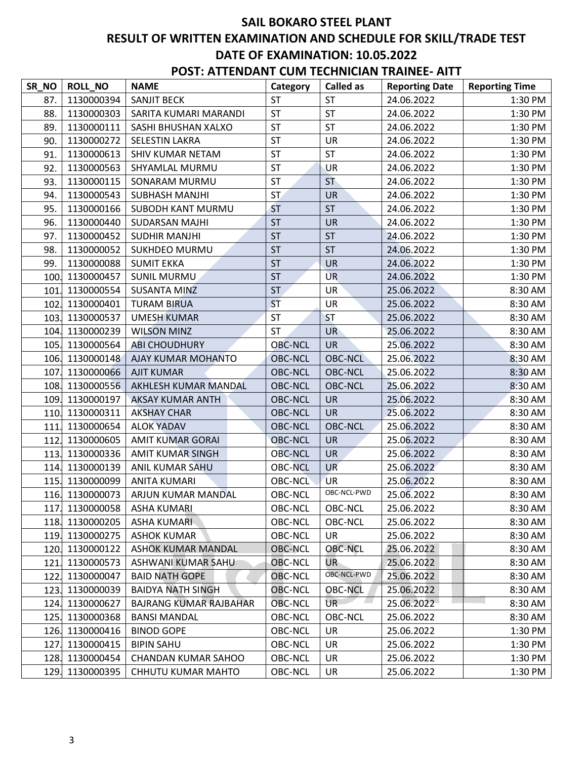| SR_NO | <b>ROLL_NO</b>  | <b>NAME</b>                   | Category       | <b>Called as</b> | <b>Reporting Date</b> | <b>Reporting Time</b> |
|-------|-----------------|-------------------------------|----------------|------------------|-----------------------|-----------------------|
| 87.   | 1130000394      | <b>SANJIT BECK</b>            | <b>ST</b>      | <b>ST</b>        | 24.06.2022            | 1:30 PM               |
| 88.   | 1130000303      | SARITA KUMARI MARANDI         | <b>ST</b>      | <b>ST</b>        | 24.06.2022            | 1:30 PM               |
| 89.   | 1130000111      | SASHI BHUSHAN XALXO           | <b>ST</b>      | <b>ST</b>        | 24.06.2022            | 1:30 PM               |
| 90.   | 1130000272      | <b>SELESTIN LAKRA</b>         | <b>ST</b>      | <b>UR</b>        | 24.06.2022            | 1:30 PM               |
| 91.   | 1130000613      | SHIV KUMAR NETAM              | <b>ST</b>      | <b>ST</b>        | 24.06.2022            | 1:30 PM               |
| 92.   | 1130000563      | SHYAMLAL MURMU                | <b>ST</b>      | UR               | 24.06.2022            | 1:30 PM               |
| 93.   | 1130000115      | SONARAM MURMU                 | <b>ST</b>      | <b>ST</b>        | 24.06.2022            | 1:30 PM               |
| 94.   | 1130000543      | <b>SUBHASH MANJHI</b>         | <b>ST</b>      | <b>UR</b>        | 24.06.2022            | 1:30 PM               |
| 95.   | 1130000166      | SUBODH KANT MURMU             | <b>ST</b>      | <b>ST</b>        | 24.06.2022            | 1:30 PM               |
| 96.   | 1130000440      | SUDARSAN MAJHI                | <b>ST</b>      | <b>UR</b>        | 24.06.2022            | 1:30 PM               |
| 97.   | 1130000452      | <b>SUDHIR MANJHI</b>          | <b>ST</b>      | <b>ST</b>        | 24.06.2022            | 1:30 PM               |
| 98.   | 1130000052      | <b>SUKHDEO MURMU</b>          | <b>ST</b>      | <b>ST</b>        | 24.06.2022            | 1:30 PM               |
| 99.   | 1130000088      | <b>SUMIT EKKA</b>             | <b>ST</b>      | <b>UR</b>        | 24.06.2022            | 1:30 PM               |
| 100.  | 1130000457      | <b>SUNIL MURMU</b>            | <b>ST</b>      | <b>UR</b>        | 24.06.2022            | 1:30 PM               |
| 101.  | 1130000554      | <b>SUSANTA MINZ</b>           | <b>ST</b>      | <b>UR</b>        | 25.06.2022            | 8:30 AM               |
| 102.  | 1130000401      | <b>TURAM BIRUA</b>            | <b>ST</b>      | <b>UR</b>        | 25.06.2022            | 8:30 AM               |
| 103.  | 1130000537      | <b>UMESH KUMAR</b>            | <b>ST</b>      | <b>ST</b>        | 25.06.2022            | 8:30 AM               |
| 104.  | 1130000239      | <b>WILSON MINZ</b>            | <b>ST</b>      | UR <sup></sup>   | 25.06.2022            | 8:30 AM               |
| 105.  | 1130000564      | <b>ABI CHOUDHURY</b>          | <b>OBC-NCL</b> | <b>UR</b>        | 25.06.2022            | 8:30 AM               |
| 106.  | 1130000148      | AJAY KUMAR MOHANTO            | <b>OBC-NCL</b> | <b>OBC-NCL</b>   | 25.06.2022            | 8:30 AM               |
| 107.  | 1130000066      | <b>AJIT KUMAR</b>             | <b>OBC-NCL</b> | <b>OBC-NCL</b>   | 25.06.2022            | 8:30 AM               |
| 108.  | 1130000556      | AKHLESH KUMAR MANDAL          | <b>OBC-NCL</b> | <b>OBC-NCL</b>   | 25.06.2022            | 8:30 AM               |
| 109.  | 1130000197      | <b>AKSAY KUMAR ANTH</b>       | <b>OBC-NCL</b> | <b>UR</b>        | 25.06.2022            | 8:30 AM               |
| 110.  | 1130000311      | <b>AKSHAY CHAR</b>            | <b>OBC-NCL</b> | <b>UR</b>        | 25.06.2022            | 8:30 AM               |
| 111.  | 1130000654      | <b>ALOK YADAV</b>             | <b>OBC-NCL</b> | <b>OBC-NCL</b>   | 25.06.2022            | 8:30 AM               |
| 112.  | 1130000605      | <b>AMIT KUMAR GORAI</b>       | <b>OBC-NCL</b> | <b>UR</b>        | 25.06.2022            | 8:30 AM               |
| 113.  | 1130000336      | <b>AMIT KUMAR SINGH</b>       | <b>OBC-NCL</b> | <b>UR</b>        | 25.06.2022            | 8:30 AM               |
| 114.  | 1130000139      | ANIL KUMAR SAHU               | <b>OBC-NCL</b> | <b>UR</b>        | 25.06.2022            | 8:30 AM               |
|       | 115. 1130000099 | <b>ANITA KUMARI</b>           | <b>OBC-NCL</b> | <b>UR</b>        | 25.06.2022            | 8:30 AM               |
| 116.  | 1130000073      | ARJUN KUMAR MANDAL            | OBC-NCL        | OBC-NCL-PWD      | 25.06.2022            | 8:30 AM               |
|       | 117. 1130000058 | <b>ASHA KUMARI</b>            | OBC-NCL        | OBC-NCL          | 25.06.2022            | 8:30 AM               |
|       | 118. 1130000205 | ASHA KUMARI                   | OBC-NCL        | OBC-NCL          | 25.06.2022            | 8:30 AM               |
|       | 119. 1130000275 | <b>ASHOK KUMAR</b>            | <b>OBC-NCL</b> | UR.              | 25.06.2022            | 8:30 AM               |
| 120.  | 1130000122      | <b>ASHOK KUMAR MANDAL</b>     | <b>OBC-NCL</b> | <b>OBC-NCL</b>   | 25.06.2022            | 8:30 AM               |
| 121.  | 1130000573      | ASHWANI KUMAR SAHU            | <b>OBC-NCL</b> | UR-              | 25.06.2022            | 8:30 AM               |
| 122.  | 1130000047      | <b>BAID NATH GOPE</b>         | <b>OBC-NCL</b> | OBC-NCL-PWD      | 25.06.2022            | 8:30 AM               |
|       | 123. 1130000039 | <b>BAIDYA NATH SINGH</b>      | <b>OBC-NCL</b> | <b>OBC-NCL</b>   | 25.06.2022            | 8:30 AM               |
| 124.  | 1130000627      | <b>BAJRANG KUMAR RAJBAHAR</b> | <b>OBC-NCL</b> | UR.              | 25.06.2022            | 8:30 AM               |
| 125.  | 1130000368      | <b>BANSI MANDAL</b>           | <b>OBC-NCL</b> | <b>OBC-NCL</b>   | 25.06.2022            | 8:30 AM               |
|       | 126. 1130000416 | <b>BINOD GOPE</b>             | <b>OBC-NCL</b> | <b>UR</b>        | 25.06.2022            | 1:30 PM               |
| 127.  | 1130000415      | <b>BIPIN SAHU</b>             | OBC-NCL        | UR               | 25.06.2022            | 1:30 PM               |
|       | 128. 1130000454 | <b>CHANDAN KUMAR SAHOO</b>    | OBC-NCL        | UR               | 25.06.2022            | 1:30 PM               |
|       | 129. 1130000395 | CHHUTU KUMAR MAHTO            | OBC-NCL        | UR               | 25.06.2022            | 1:30 PM               |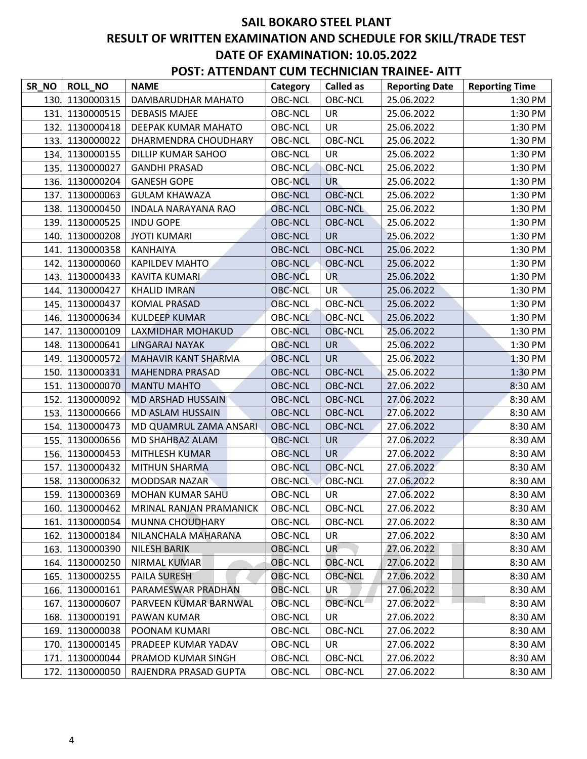| <b>POST: ATTENDANT CUM TECHNICIAN TRAINEE- AITT</b> |                 |                     |          |                  |                       |                       |  |  |
|-----------------------------------------------------|-----------------|---------------------|----------|------------------|-----------------------|-----------------------|--|--|
| SR NO                                               | <b>ROLL NO</b>  | <b>NAME</b>         | Category | <b>Called as</b> | <b>Reporting Date</b> | <b>Reporting Time</b> |  |  |
|                                                     | 130. 1130000315 | DAMBARUDHAR MAHATO  | OBC-NCL  | OBC-NCL          | 25.06.2022            | $1:30$ PM             |  |  |
|                                                     | 131. 1130000515 | DEBASIS MAJEE       | OBC-NCL  | UR               | 25.06.2022            | 1:30 PM               |  |  |
|                                                     | 132. 1130000418 | DEEPAK KUMAR MAHATO | OBC-NCL  | UR               | 25.06.2022            | 1:30 PM               |  |  |

|      | 131, 1130000515 | <b>DEBASIS MAJEE</b>       | OBC-NCL        | UR.            | 25.06.2022 | $1:30$ PM |
|------|-----------------|----------------------------|----------------|----------------|------------|-----------|
| 132. | 1130000418      | DEEPAK KUMAR MAHATO        | <b>OBC-NCL</b> | <b>UR</b>      | 25.06.2022 | 1:30 PM   |
|      | 133. 1130000022 | DHARMENDRA CHOUDHARY       | OBC-NCL        | OBC-NCL        | 25.06.2022 | 1:30 PM   |
| 134. | 1130000155      | DILLIP KUMAR SAHOO         | OBC-NCL        | UR             | 25.06.2022 | 1:30 PM   |
| 135. | 1130000027      | <b>GANDHI PRASAD</b>       | <b>OBC-NCL</b> | <b>OBC-NCL</b> | 25.06.2022 | 1:30 PM   |
| 136. | 1130000204      | <b>GANESH GOPE</b>         | <b>OBC-NCL</b> | UR.            | 25.06.2022 | 1:30 PM   |
| 137. | 1130000063      | <b>GULAM KHAWAZA</b>       | OBC-NCL        | <b>OBC-NCL</b> | 25.06.2022 | 1:30 PM   |
| 138. | 1130000450      | <b>INDALA NARAYANA RAO</b> | <b>OBC-NCL</b> | <b>OBC-NCL</b> | 25.06.2022 | 1:30 PM   |
| 139. | 1130000525      | <b>INDU GOPE</b>           | <b>OBC-NCL</b> | <b>OBC-NCL</b> | 25.06.2022 | 1:30 PM   |
| 140. | 1130000208      | <b>JYOTI KUMARI</b>        | <b>OBC-NCL</b> | <b>UR</b>      | 25.06.2022 | 1:30 PM   |
| 141. | 1130000358      | <b>KANHAIYA</b>            | <b>OBC-NCL</b> | <b>OBC-NCL</b> | 25.06.2022 | 1:30 PM   |
| 142. | 1130000060      | <b>KAPILDEV MAHTO</b>      | OBC-NCL        | <b>OBC-NCL</b> | 25.06.2022 | 1:30 PM   |
| 143. | 1130000433      | <b>KAVITA KUMARI</b>       | <b>OBC-NCL</b> | <b>UR</b>      | 25.06.2022 | 1:30 PM   |
| 144. | 1130000427      | <b>KHALID IMRAN</b>        | <b>OBC-NCL</b> | <b>UR</b>      | 25.06.2022 | 1:30 PM   |
| 145. | 1130000437      | <b>KOMAL PRASAD</b>        | <b>OBC-NCL</b> | OBC-NCL        | 25.06.2022 | 1:30 PM   |
| 146. | 1130000634      | <b>KULDEEP KUMAR</b>       | <b>OBC-NCL</b> | <b>OBC-NCL</b> | 25.06.2022 | 1:30 PM   |
| 147. | 1130000109      | LAXMIDHAR MOHAKUD          | <b>OBC-NCL</b> | <b>OBC-NCL</b> | 25.06.2022 | 1:30 PM   |
| 148. | 1130000641      | <b>LINGARAJ NAYAK</b>      | <b>OBC-NCL</b> | <b>UR</b>      | 25.06.2022 | 1:30 PM   |
| 149. | 1130000572      | MAHAVIR KANT SHARMA        | <b>OBC-NCL</b> | <b>UR</b>      | 25.06.2022 | 1:30 PM   |
|      | 150. 1130000331 | <b>MAHENDRA PRASAD</b>     | <b>OBC-NCL</b> | <b>OBC-NCL</b> | 25.06.2022 | 1:30 PM   |
| 151. | 1130000070      | <b>MANTU MAHTO</b>         | <b>OBC-NCL</b> | <b>OBC-NCL</b> | 27.06.2022 | 8:30 AM   |
| 152. | 1130000092      | MD ARSHAD HUSSAIN          | <b>OBC-NCL</b> | <b>OBC-NCL</b> | 27.06.2022 | 8:30 AM   |
| 153. | 1130000666      | <b>MD ASLAM HUSSAIN</b>    | OBC-NCL        | <b>OBC-NCL</b> | 27.06.2022 | 8:30 AM   |
| 154. | 1130000473      | MD QUAMRUL ZAMA ANSARI     | <b>OBC-NCL</b> | <b>OBC-NCL</b> | 27.06.2022 | 8:30 AM   |
| 155. | 1130000656      | MD SHAHBAZ ALAM            | <b>OBC-NCL</b> | <b>UR</b>      | 27.06.2022 | 8:30 AM   |
| 156. | 1130000453      | MITHLESH KUMAR             | <b>OBC-NCL</b> | <b>UR</b>      | 27.06.2022 | 8:30 AM   |
| 157. | 1130000432      | <b>MITHUN SHARMA</b>       | <b>OBC-NCL</b> | <b>OBC-NCL</b> | 27.06.2022 | 8:30 AM   |
| 158. | 1130000632      | <b>MODDSAR NAZAR</b>       | <b>OBC-NCL</b> | <b>OBC-NCL</b> | 27.06.2022 | 8:30 AM   |
| 159. | 1130000369      | <b>MOHAN KUMAR SAHU</b>    | OBC-NCL        | <b>UR</b>      | 27.06.2022 | 8:30 AM   |
| 160. | 1130000462      | MRINAL RANJAN PRAMANICK    | OBC-NCL        | OBC-NCL        | 27.06.2022 | 8:30 AM   |
| 161. | 1130000054      | MUNNA CHOUDHARY            | <b>OBC-NCL</b> | <b>OBC-NCL</b> | 27.06.2022 | 8:30 AM   |
|      | 162. 1130000184 | NILANCHALA MAHARANA        | OBC-NCL        | UR             | 27.06.2022 | 8:30 AM   |
| 163. | 1130000390      | <b>NILESH BARIK</b>        | <b>OBC-NCL</b> | UR             | 27.06.2022 | 8:30 AM   |
| 164. | 1130000250      | <b>NIRMAL KUMAR</b>        | <b>OBC-NCL</b> | <b>OBC-NCL</b> | 27.06.2022 | 8:30 AM   |
| 165. | 1130000255      | <b>PAILA SURESH</b>        | <b>OBC-NCL</b> | <b>OBC-NCL</b> | 27.06.2022 | 8:30 AM   |
| 166. | 1130000161      | PARAMESWAR PRADHAN         | <b>OBC-NCL</b> | UR             | 27.06.2022 | 8:30 AM   |
| 167. | 1130000607      | PARVEEN KUMAR BARNWAL      | <b>OBC-NCL</b> | OBC-NCL        | 27.06.2022 | 8:30 AM   |
| 168. | 1130000191      | PAWAN KUMAR                | <b>OBC-NCL</b> | UR             | 27.06.2022 | 8:30 AM   |
| 169. | 1130000038      | POONAM KUMARI              | OBC-NCL        | <b>OBC-NCL</b> | 27.06.2022 | 8:30 AM   |
| 170. | 1130000145      | PRADEEP KUMAR YADAV        | OBC-NCL        | UR             | 27.06.2022 | 8:30 AM   |
| 171. | 1130000044      | PRAMOD KUMAR SINGH         | OBC-NCL        | <b>OBC-NCL</b> | 27.06.2022 | 8:30 AM   |
| 172. | 1130000050      | RAJENDRA PRASAD GUPTA      | OBC-NCL        | <b>OBC-NCL</b> | 27.06.2022 | 8:30 AM   |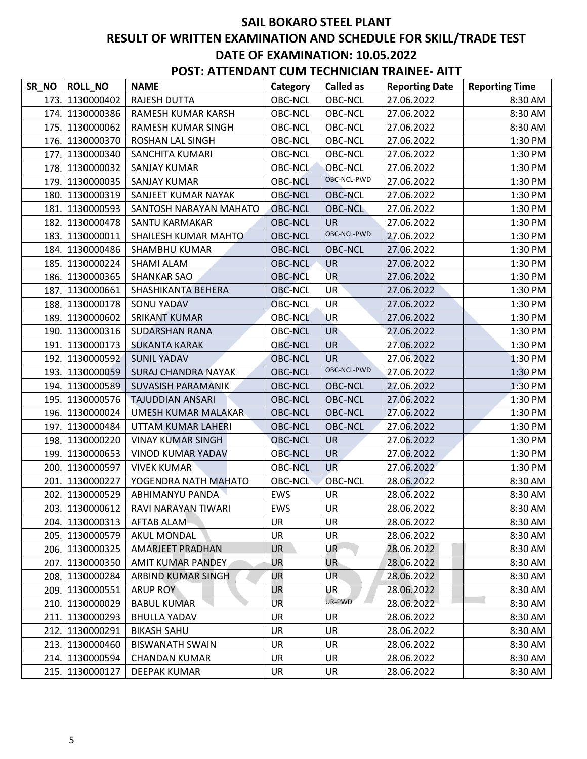| SR_NO | <b>ROLL_NO</b>  | <b>NAME</b>                | Category       | <b>Called as</b> | <b>Reporting Date</b> | <b>Reporting Time</b> |
|-------|-----------------|----------------------------|----------------|------------------|-----------------------|-----------------------|
| 173.  | 1130000402      | <b>RAJESH DUTTA</b>        | <b>OBC-NCL</b> | <b>OBC-NCL</b>   | 27.06.2022            | 8:30 AM               |
| 174.  | 1130000386      | RAMESH KUMAR KARSH         | <b>OBC-NCL</b> | <b>OBC-NCL</b>   | 27.06.2022            | 8:30 AM               |
| 175.  | 1130000062      | RAMESH KUMAR SINGH         | <b>OBC-NCL</b> | OBC-NCL          | 27.06.2022            | 8:30 AM               |
| 176.  | 1130000370      | <b>ROSHAN LAL SINGH</b>    | <b>OBC-NCL</b> | <b>OBC-NCL</b>   | 27.06.2022            | 1:30 PM               |
| 177.  | 1130000340      | SANCHITA KUMARI            | <b>OBC-NCL</b> | <b>OBC-NCL</b>   | 27.06.2022            | 1:30 PM               |
| 178.  | 1130000032      | <b>SANJAY KUMAR</b>        | OBC-NCL        | <b>OBC-NCL</b>   | 27.06.2022            | 1:30 PM               |
| 179.  | 1130000035      | <b>SANJAY KUMAR</b>        | <b>OBC-NCL</b> | OBC-NCL-PWD      | 27.06.2022            | 1:30 PM               |
| 180.  | 1130000319      | SANJEET KUMAR NAYAK        | <b>OBC-NCL</b> | <b>OBC-NCL</b>   | 27.06.2022            | 1:30 PM               |
| 181.  | 1130000593      | SANTOSH NARAYAN MAHATO     | <b>OBC-NCL</b> | <b>OBC-NCL</b>   | 27.06.2022            | 1:30 PM               |
| 182.  | 1130000478      | SANTU KARMAKAR             | <b>OBC-NCL</b> | <b>UR</b>        | 27.06.2022            | 1:30 PM               |
| 183.  | 1130000011      | SHAILESH KUMAR MAHTO       | <b>OBC-NCL</b> | OBC-NCL-PWD      | 27.06.2022            | 1:30 PM               |
| 184.  | 1130000486      | SHAMBHU KUMAR              | <b>OBC-NCL</b> | <b>OBC-NCL</b>   | 27.06.2022            | 1:30 PM               |
| 185.  | 1130000224      | SHAMI ALAM                 | OBC-NCL        | <b>UR</b>        | 27.06.2022            | 1:30 PM               |
| 186.  | 1130000365      | <b>SHANKAR SAO</b>         | <b>OBC-NCL</b> | <b>UR</b>        | 27.06.2022            | 1:30 PM               |
| 187.  | 1130000661      | SHASHIKANTA BEHERA         | <b>OBC-NCL</b> | <b>UR</b>        | 27.06.2022            | 1:30 PM               |
| 188.  | 1130000178      | <b>SONU YADAV</b>          | <b>OBC-NCL</b> | <b>UR</b>        | 27.06.2022            | 1:30 PM               |
| 189.  | 1130000602      | <b>SRIKANT KUMAR</b>       | <b>OBC-NCL</b> | <b>UR</b>        | 27.06.2022            | 1:30 PM               |
| 190.  | 1130000316      | <b>SUDARSHAN RANA</b>      | <b>OBC-NCL</b> | <b>UR</b>        | 27.06.2022            | 1:30 PM               |
| 191.  | 1130000173      | <b>SUKANTA KARAK</b>       | <b>OBC-NCL</b> | <b>UR</b>        | 27.06.2022            | 1:30 PM               |
| 192.  | 1130000592      | <b>SUNIL YADAV</b>         | OBC-NCL        | <b>UR</b>        | 27.06.2022            | 1:30 PM               |
| 193.  | 1130000059      | <b>SURAJ CHANDRA NAYAK</b> | <b>OBC-NCL</b> | OBC-NCL-PWD      | 27.06.2022            | 1:30 PM               |
| 194.  | 1130000589      | SUVASISH PARAMANIK         | <b>OBC-NCL</b> | <b>OBC-NCL</b>   | 27.06.2022            | 1:30 PM               |
| 195.  | 1130000576      | <b>TAJUDDIAN ANSARI</b>    | <b>OBC-NCL</b> | <b>OBC-NCL</b>   | 27.06.2022            | 1:30 PM               |
| 196.  | 1130000024      | <b>UMESH KUMAR MALAKAR</b> | <b>OBC-NCL</b> | <b>OBC-NCL</b>   | 27.06.2022            | 1:30 PM               |
| 197.  | 1130000484      | UTTAM KUMAR LAHERI         | <b>OBC-NCL</b> | <b>OBC-NCL</b>   | 27.06.2022            | 1:30 PM               |
| 198.  | 1130000220      | <b>VINAY KUMAR SINGH</b>   | <b>OBC-NCL</b> | <b>UR</b>        | 27.06.2022            | 1:30 PM               |
| 199.  | 1130000653      | <b>VINOD KUMAR YADAV</b>   | <b>OBC-NCL</b> | <b>UR</b>        | 27.06.2022            | 1:30 PM               |
| 200.  | 1130000597      | <b>VIVEK KUMAR</b>         | <b>OBC-NCL</b> | <b>UR</b>        | 27.06.2022            | 1:30 PM               |
| 201.  | 1130000227      | YOGENDRA NATH MAHATO       | <b>OBC-NCL</b> | <b>OBC-NCL</b>   | 28.06.2022            | 8:30 AM               |
| 202.  | 1130000529      | ABHIMANYU PANDA            | EWS            | <b>UR</b>        | 28.06.2022            | 8:30 AM               |
|       | 203. 1130000612 | RAVI NARAYAN TIWARI        | EWS            | UR               | 28.06.2022            | 8:30 AM               |
| 204.  | 1130000313      | AFTAB ALAM                 | UR             | UR               | 28.06.2022            | 8:30 AM               |
| 205.  | 1130000579      | AKUL MONDAL                | UR             | UR               | 28.06.2022            | 8:30 AM               |
| 206.  | 1130000325      | <b>AMARJEET PRADHAN</b>    | <b>UR</b>      | UR               | 28.06.2022            | 8:30 AM               |
| 207.  | 1130000350      | AMIT KUMAR PANDEY          | <b>UR</b>      | UR-              | 28.06.2022            | 8:30 AM               |
| 208.  | 1130000284      | ARBIND KUMAR SINGH         | UR             | UR.              | 28.06.2022            | 8:30 AM               |
| 209.  | 1130000551      | <b>ARUP ROY</b>            | UR             | UR               | 28.06.2022            | 8:30 AM               |
| 210.  | 1130000029      | <b>BABUL KUMAR</b>         | UR             | UR-PWD           | 28.06.2022            | 8:30 AM               |
| 211.  | 1130000293      | <b>BHULLA YADAV</b>        | <b>UR</b>      | <b>UR</b>        | 28.06.2022            | 8:30 AM               |
| 212.  | 1130000291      | <b>BIKASH SAHU</b>         | UR             | <b>UR</b>        | 28.06.2022            | 8:30 AM               |
| 213.  | 1130000460      | <b>BISWANATH SWAIN</b>     | UR             | UR               | 28.06.2022            | 8:30 AM               |
| 214.  | 1130000594      | <b>CHANDAN KUMAR</b>       | UR             | UR               | 28.06.2022            | 8:30 AM               |
| 215.  | 1130000127      | DEEPAK KUMAR               | UR             | UR               | 28.06.2022            | 8:30 AM               |